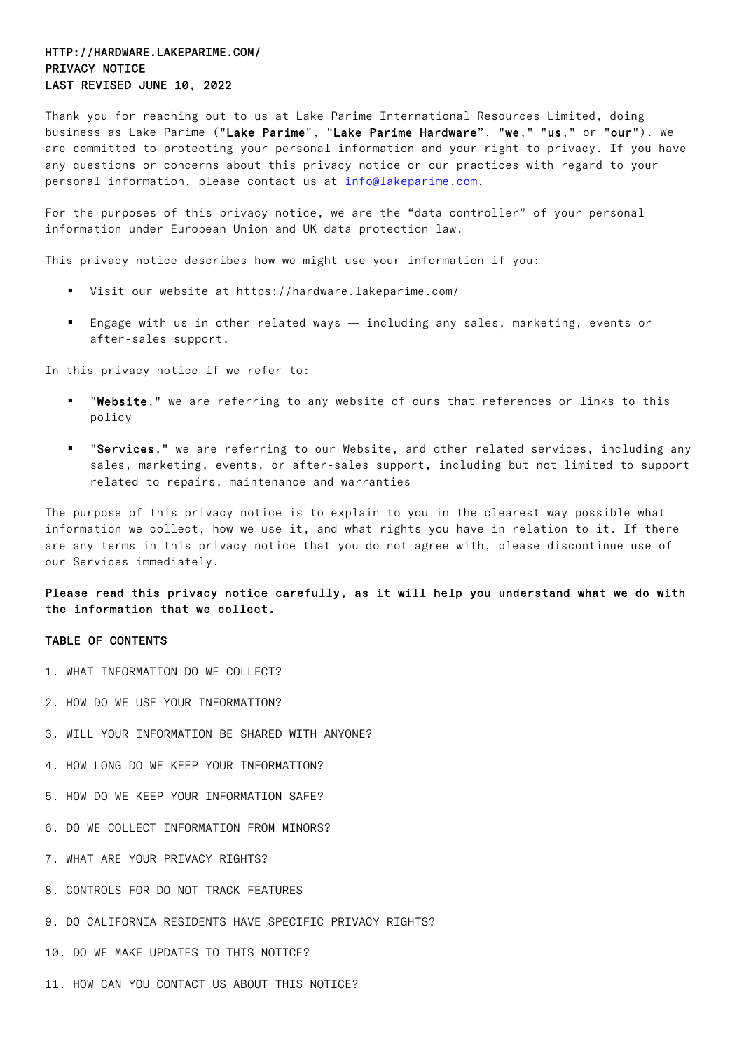# HTTP://HARDWARE.LAKEPARIME.COM/ PRIVACY NOTICE LAST REVISED JUNE 10, 2022

Thank you for reaching out to us at Lake Parime International Resources Limited, doing business as Lake Parime ("Lake Parime", "Lake Parime Hardware", "we," "us," or "our"). We are committed to protecting your personal information and your right to privacy. If you have any questions or concerns about this privacy notice or our practices with regard to your personal information, please contact us at info@lakeparime.com.

For the purposes of this privacy notice, we are the "data controller" of your personal information under European Union and UK data protection law.

This privacy notice describes how we might use your information if you:

- § Visit our website at https://hardware.lakeparime.com/
- Engage with us in other related ways including any sales, marketing, events or after-sales support.

In this privacy notice if we refer to:

- "Website," we are referring to any website of ours that references or links to this policy
- "Services," we are referring to our Website, and other related services, including any sales, marketing, events, or after-sales support, including but not limited to support related to repairs, maintenance and warranties

The purpose of this privacy notice is to explain to you in the clearest way possible what information we collect, how we use it, and what rights you have in relation to it. If there are any terms in this privacy notice that you do not agree with, please discontinue use of our Services immediately.

Please read this privacy notice carefully, as it will help you understand what we do with the information that we collect.

### TABLE OF CONTENTS

- 1. WHAT INFORMATION DO WE COLLECT?
- 2. HOW DO WE USE YOUR INFORMATION?
- 3. WILL YOUR INFORMATION BE SHARED WITH ANYONE?
- 4. HOW LONG DO WE KEEP YOUR INFORMATION?
- 5. HOW DO WE KEEP YOUR INFORMATION SAFE?
- 6. DO WE COLLECT INFORMATION FROM MINORS?
- 7. WHAT ARE YOUR PRIVACY RIGHTS?
- 8. CONTROLS FOR DO-NOT-TRACK FEATURES
- 9. DO CALIFORNIA RESIDENTS HAVE SPECIFIC PRIVACY RIGHTS?
- 10. DO WE MAKE UPDATES TO THIS NOTICE?
- 11. HOW CAN YOU CONTACT US ABOUT THIS NOTICE?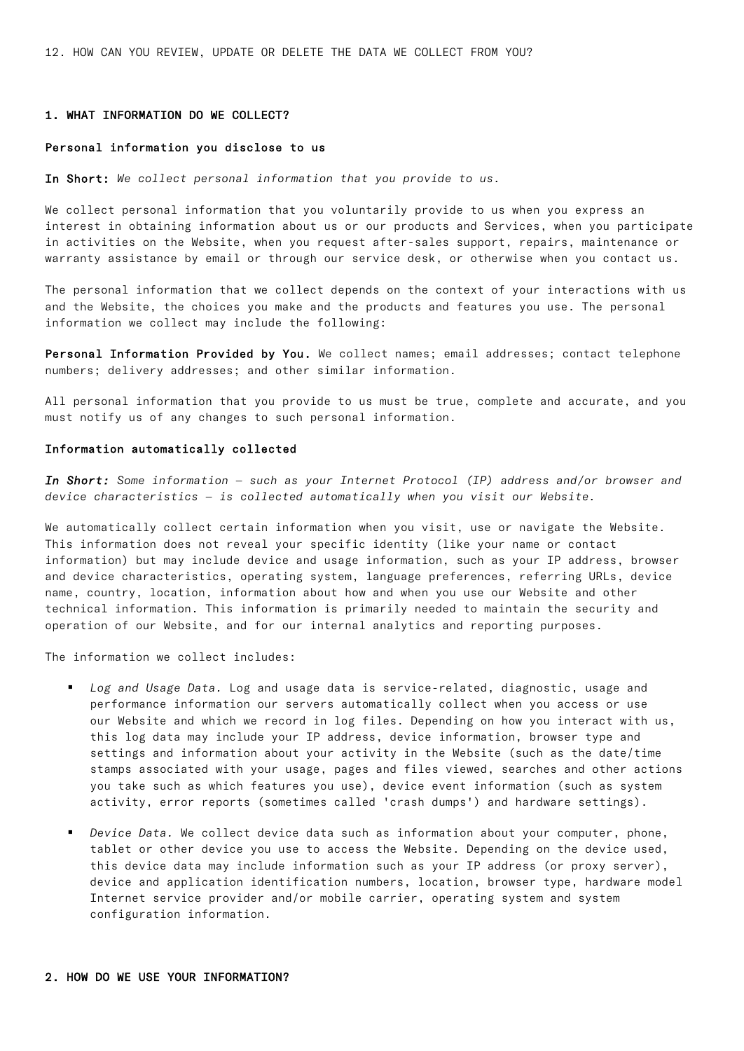12. HOW CAN YOU REVIEW, UPDATE OR DELETE THE DATA WE COLLECT FROM YOU?

#### 1. WHAT INFORMATION DO WE COLLECT?

## Personal information you disclose to us

In Short: *We collect personal information that you provide to us.*

We collect personal information that you voluntarily provide to us when you express an interest in obtaining information about us or our products and Services, when you participate in activities on the Website, when you request after-sales support, repairs, maintenance or warranty assistance by email or through our service desk, or otherwise when you contact us.

The personal information that we collect depends on the context of your interactions with us and the Website, the choices you make and the products and features you use. The personal information we collect may include the following:

Personal Information Provided by You. We collect names; email addresses; contact telephone numbers; delivery addresses; and other similar information.

All personal information that you provide to us must be true, complete and accurate, and you must notify us of any changes to such personal information.

#### Information automatically collected

*In Short: Some information — such as your Internet Protocol (IP) address and/or browser and device characteristics — is collected automatically when you visit our Website.*

We automatically collect certain information when you visit, use or navigate the Website. This information does not reveal your specific identity (like your name or contact information) but may include device and usage information, such as your IP address, browser and device characteristics, operating system, language preferences, referring URLs, device name, country, location, information about how and when you use our Website and other technical information. This information is primarily needed to maintain the security and operation of our Website, and for our internal analytics and reporting purposes.

The information we collect includes:

- § *Log and Usage Data.* Log and usage data is service-related, diagnostic, usage and performance information our servers automatically collect when you access or use our Website and which we record in log files. Depending on how you interact with us, this log data may include your IP address, device information, browser type and settings and information about your activity in the Website (such as the date/time stamps associated with your usage, pages and files viewed, searches and other actions you take such as which features you use), device event information (such as system activity, error reports (sometimes called 'crash dumps') and hardware settings).
- § *Device Data.* We collect device data such as information about your computer, phone, tablet or other device you use to access the Website. Depending on the device used, this device data may include information such as your IP address (or proxy server), device and application identification numbers, location, browser type, hardware model Internet service provider and/or mobile carrier, operating system and system configuration information.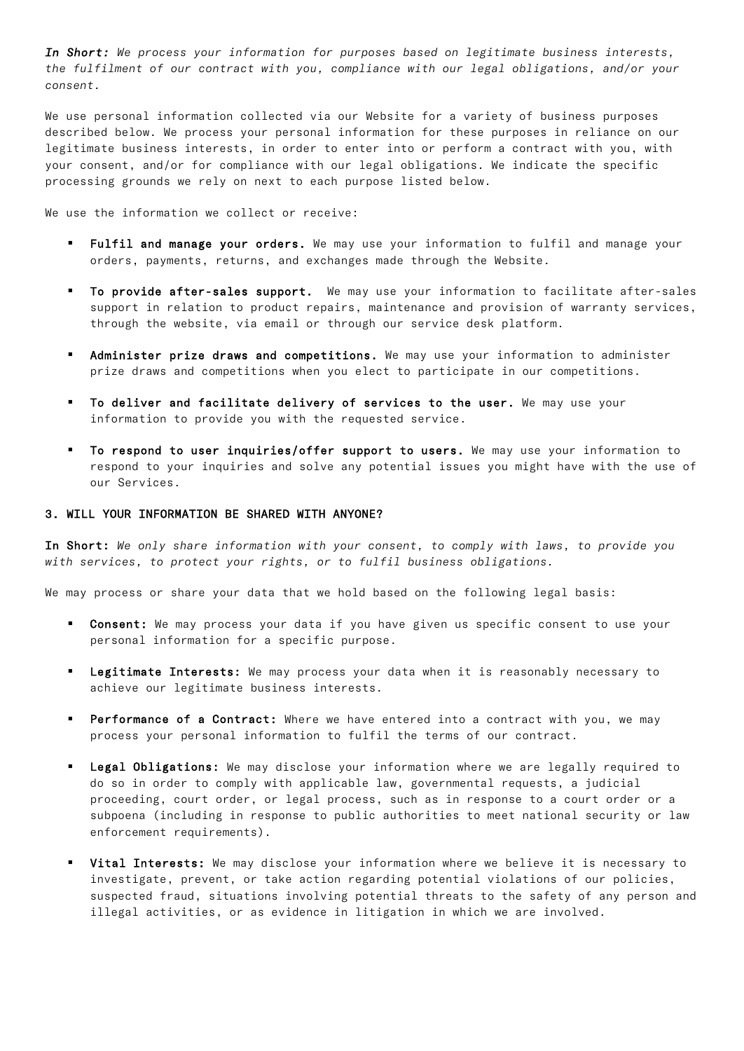*In Short: We process your information for purposes based on legitimate business interests, the fulfilment of our contract with you, compliance with our legal obligations, and/or your consent.*

We use personal information collected via our Website for a variety of business purposes described below. We process your personal information for these purposes in reliance on our legitimate business interests, in order to enter into or perform a contract with you, with your consent, and/or for compliance with our legal obligations. We indicate the specific processing grounds we rely on next to each purpose listed below.

We use the information we collect or receive:

- Fulfil and manage your orders. We may use your information to fulfil and manage your orders, payments, returns, and exchanges made through the Website.
- To provide after-sales support. We may use your information to facilitate after-sales support in relation to product repairs, maintenance and provision of warranty services, through the website, via email or through our service desk platform.
- Administer prize draws and competitions. We may use your information to administer prize draws and competitions when you elect to participate in our competitions.
- To deliver and facilitate delivery of services to the user. We may use your information to provide you with the requested service.
- § To respond to user inquiries/offer support to users. We may use your information to respond to your inquiries and solve any potential issues you might have with the use of our Services.

### 3. WILL YOUR INFORMATION BE SHARED WITH ANYONE?

In Short: *We only share information with your consent, to comply with laws, to provide you with services, to protect your rights, or to fulfil business obligations.*

We may process or share your data that we hold based on the following legal basis:

- **Consent:** We may process your data if you have given us specific consent to use your personal information for a specific purpose.
- Legitimate Interests: We may process your data when it is reasonably necessary to achieve our legitimate business interests.
- Performance of a Contract: Where we have entered into a contract with you, we may process your personal information to fulfil the terms of our contract.
- Legal Obligations: We may disclose your information where we are legally required to do so in order to comply with applicable law, governmental requests, a judicial proceeding, court order, or legal process, such as in response to a court order or a subpoena (including in response to public authorities to meet national security or law enforcement requirements).
- Vital Interests: We may disclose your information where we believe it is necessary to investigate, prevent, or take action regarding potential violations of our policies, suspected fraud, situations involving potential threats to the safety of any person and illegal activities, or as evidence in litigation in which we are involved.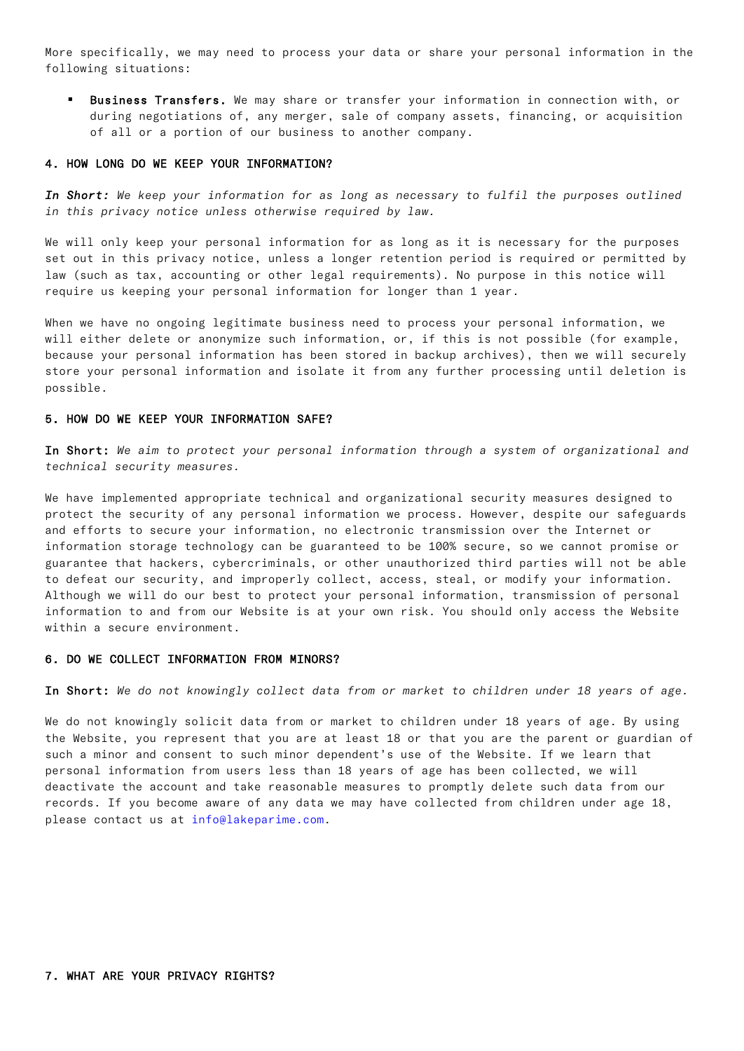More specifically, we may need to process your data or share your personal information in the following situations:

Business Transfers. We may share or transfer your information in connection with, or during negotiations of, any merger, sale of company assets, financing, or acquisition of all or a portion of our business to another company.

## 4. HOW LONG DO WE KEEP YOUR INFORMATION?

In Short: We keep your information for as long as necessary to fulfil the purposes outlined *in this privacy notice unless otherwise required by law.*

We will only keep your personal information for as long as it is necessary for the purposes set out in this privacy notice, unless a longer retention period is required or permitted by law (such as tax, accounting or other legal requirements). No purpose in this notice will require us keeping your personal information for longer than 1 year.

When we have no ongoing legitimate business need to process your personal information, we will either delete or anonymize such information, or, if this is not possible (for example, because your personal information has been stored in backup archives), then we will securely store your personal information and isolate it from any further processing until deletion is possible.

# 5. HOW DO WE KEEP YOUR INFORMATION SAFE?

In Short: *We aim to protect your personal information through a system of organizational and technical security measures.*

We have implemented appropriate technical and organizational security measures designed to protect the security of any personal information we process. However, despite our safeguards and efforts to secure your information, no electronic transmission over the Internet or information storage technology can be guaranteed to be 100% secure, so we cannot promise or guarantee that hackers, cybercriminals, or other unauthorized third parties will not be able to defeat our security, and improperly collect, access, steal, or modify your information. Although we will do our best to protect your personal information, transmission of personal information to and from our Website is at your own risk. You should only access the Website within a secure environment.

## 6. DO WE COLLECT INFORMATION FROM MINORS?

In Short: *We do not knowingly collect data from or market to children under 18 years of age.*

We do not knowingly solicit data from or market to children under 18 years of age. By using the Website, you represent that you are at least 18 or that you are the parent or guardian of such a minor and consent to such minor dependent's use of the Website. If we learn that personal information from users less than 18 years of age has been collected, we will deactivate the account and take reasonable measures to promptly delete such data from our records. If you become aware of any data we may have collected from children under age 18, please contact us at info@lakeparime.com.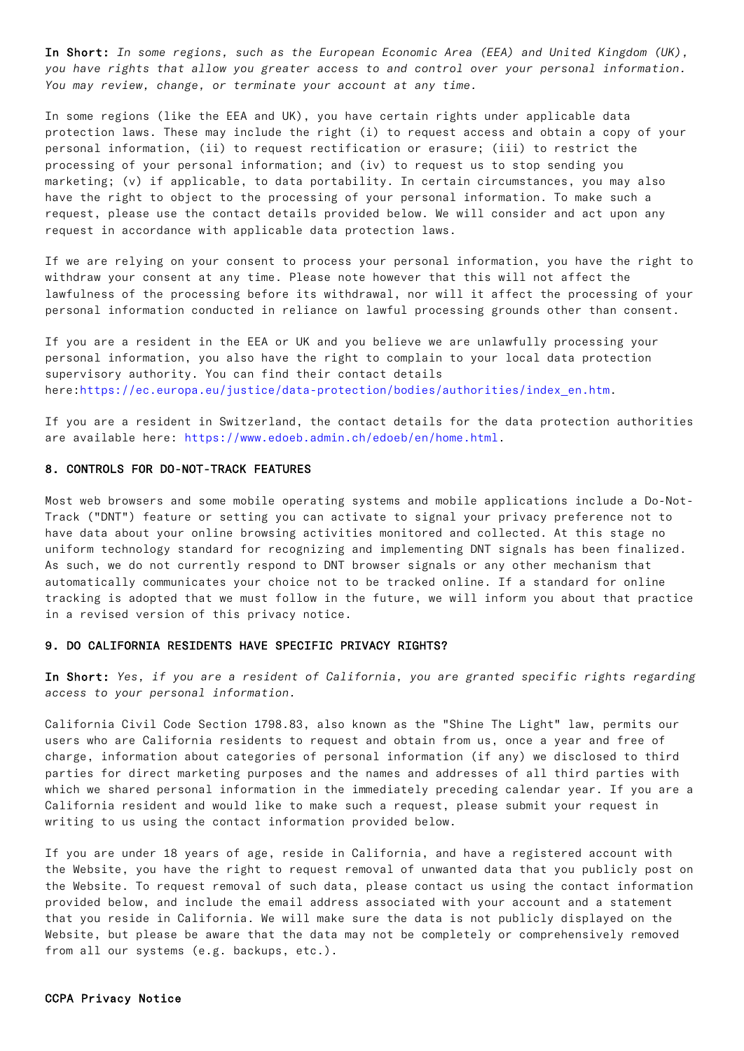In Short: *In some regions, such as the European Economic Area (EEA) and United Kingdom (UK), you have rights that allow you greater access to and control over your personal information. You may review, change, or terminate your account at any time.*

In some regions (like the EEA and UK), you have certain rights under applicable data protection laws. These may include the right (i) to request access and obtain a copy of your personal information, (ii) to request rectification or erasure; (iii) to restrict the processing of your personal information; and (iv) to request us to stop sending you marketing; (v) if applicable, to data portability. In certain circumstances, you may also have the right to object to the processing of your personal information. To make such a request, please use the contact details provided below. We will consider and act upon any request in accordance with applicable data protection laws.

If we are relying on your consent to process your personal information, you have the right to withdraw your consent at any time. Please note however that this will not affect the lawfulness of the processing before its withdrawal, nor will it affect the processing of your personal information conducted in reliance on lawful processing grounds other than consent.

If you are a resident in the EEA or UK and you believe we are unlawfully processing your personal information, you also have the right to complain to your local data protection supervisory authority. You can find their contact details here:https://ec.europa.eu/justice/data-protection/bodies/authorities/index\_en.htm.

If you are a resident in Switzerland, the contact details for the data protection authorities are available here: https://www.edoeb.admin.ch/edoeb/en/home.html.

### 8. CONTROLS FOR DO-NOT-TRACK FEATURES

Most web browsers and some mobile operating systems and mobile applications include a Do-Not-Track ("DNT") feature or setting you can activate to signal your privacy preference not to have data about your online browsing activities monitored and collected. At this stage no uniform technology standard for recognizing and implementing DNT signals has been finalized. As such, we do not currently respond to DNT browser signals or any other mechanism that automatically communicates your choice not to be tracked online. If a standard for online tracking is adopted that we must follow in the future, we will inform you about that practice in a revised version of this privacy notice.

## 9. DO CALIFORNIA RESIDENTS HAVE SPECIFIC PRIVACY RIGHTS?

In Short: *Yes, if you are a resident of California, you are granted specific rights regarding access to your personal information.*

California Civil Code Section 1798.83, also known as the "Shine The Light" law, permits our users who are California residents to request and obtain from us, once a year and free of charge, information about categories of personal information (if any) we disclosed to third parties for direct marketing purposes and the names and addresses of all third parties with which we shared personal information in the immediately preceding calendar year. If you are a California resident and would like to make such a request, please submit your request in writing to us using the contact information provided below.

If you are under 18 years of age, reside in California, and have a registered account with the Website, you have the right to request removal of unwanted data that you publicly post on the Website. To request removal of such data, please contact us using the contact information provided below, and include the email address associated with your account and a statement that you reside in California. We will make sure the data is not publicly displayed on the Website, but please be aware that the data may not be completely or comprehensively removed from all our systems (e.g. backups, etc.).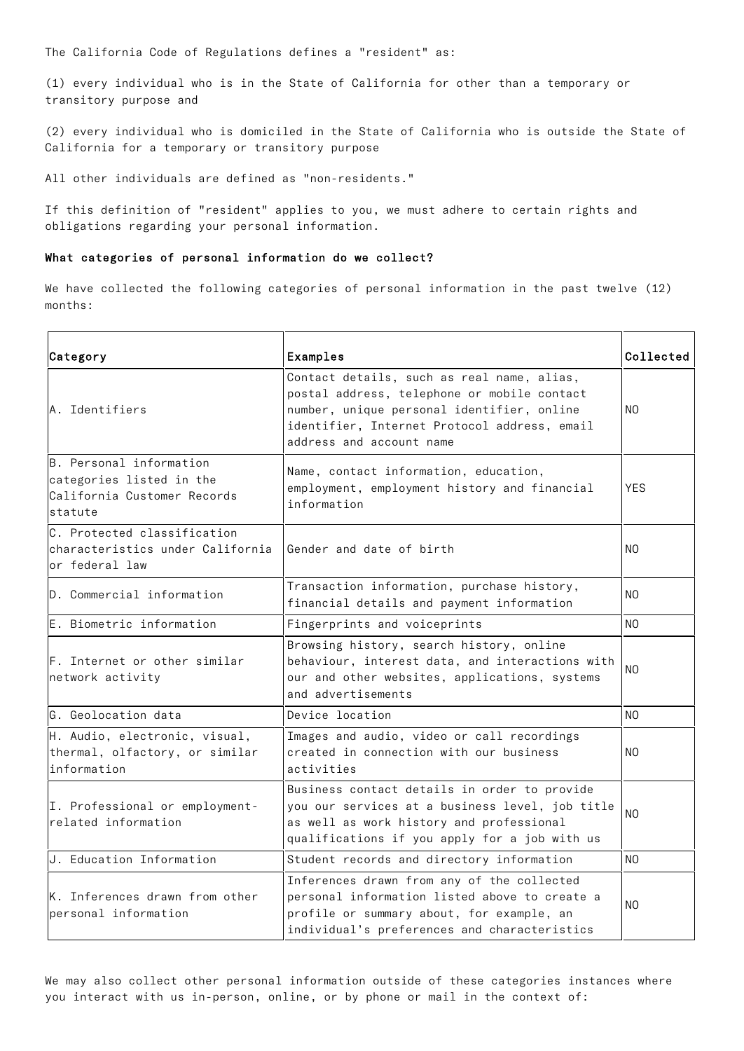The California Code of Regulations defines a "resident" as:

(1) every individual who is in the State of California for other than a temporary or transitory purpose and

(2) every individual who is domiciled in the State of California who is outside the State of California for a temporary or transitory purpose

All other individuals are defined as "non-residents."

If this definition of "resident" applies to you, we must adhere to certain rights and obligations regarding your personal information.

### What categories of personal information do we collect?

We have collected the following categories of personal information in the past twelve (12) months:

| Category                                                                                      | Examples                                                                                                                                                                                                            | Collected      |
|-----------------------------------------------------------------------------------------------|---------------------------------------------------------------------------------------------------------------------------------------------------------------------------------------------------------------------|----------------|
| A. Identifiers                                                                                | Contact details, such as real name, alias,<br>postal address, telephone or mobile contact<br>number, unique personal identifier, online<br>identifier, Internet Protocol address, email<br>address and account name | NO.            |
| B. Personal information<br>categories listed in the<br>California Customer Records<br>statute | Name, contact information, education,<br>employment, employment history and financial<br>information                                                                                                                | <b>YES</b>     |
| C. Protected classification<br>characteristics under California<br>or federal law             | Gender and date of birth                                                                                                                                                                                            | N <sub>O</sub> |
| D. Commercial information                                                                     | Transaction information, purchase history,<br>financial details and payment information                                                                                                                             | N <sub>O</sub> |
| E. Biometric information                                                                      | Fingerprints and voiceprints                                                                                                                                                                                        | N <sub>O</sub> |
| F. Internet or other similar<br>network activity                                              | Browsing history, search history, online<br>behaviour, interest data, and interactions with<br>our and other websites, applications, systems<br>and advertisements                                                  | NO.            |
| lG. Geolocation data                                                                          | Device location                                                                                                                                                                                                     | NO.            |
| H. Audio, electronic, visual,<br>thermal, olfactory, or similar<br>information                | Images and audio, video or call recordings<br>created in connection with our business<br>activities                                                                                                                 | NO.            |
| I. Professional or employment-<br>related information                                         | Business contact details in order to provide<br>you our services at a business level, job title<br>as well as work history and professional<br>qualifications if you apply for a job with us                        | N <sub>O</sub> |
| J. Education Information                                                                      | Student records and directory information                                                                                                                                                                           | NO.            |
| K. Inferences drawn from other<br>personal information                                        | Inferences drawn from any of the collected<br>personal information listed above to create a<br>profile or summary about, for example, an<br>individual's preferences and characteristics                            | N <sub>O</sub> |

We may also collect other personal information outside of these categories instances where you interact with us in-person, online, or by phone or mail in the context of: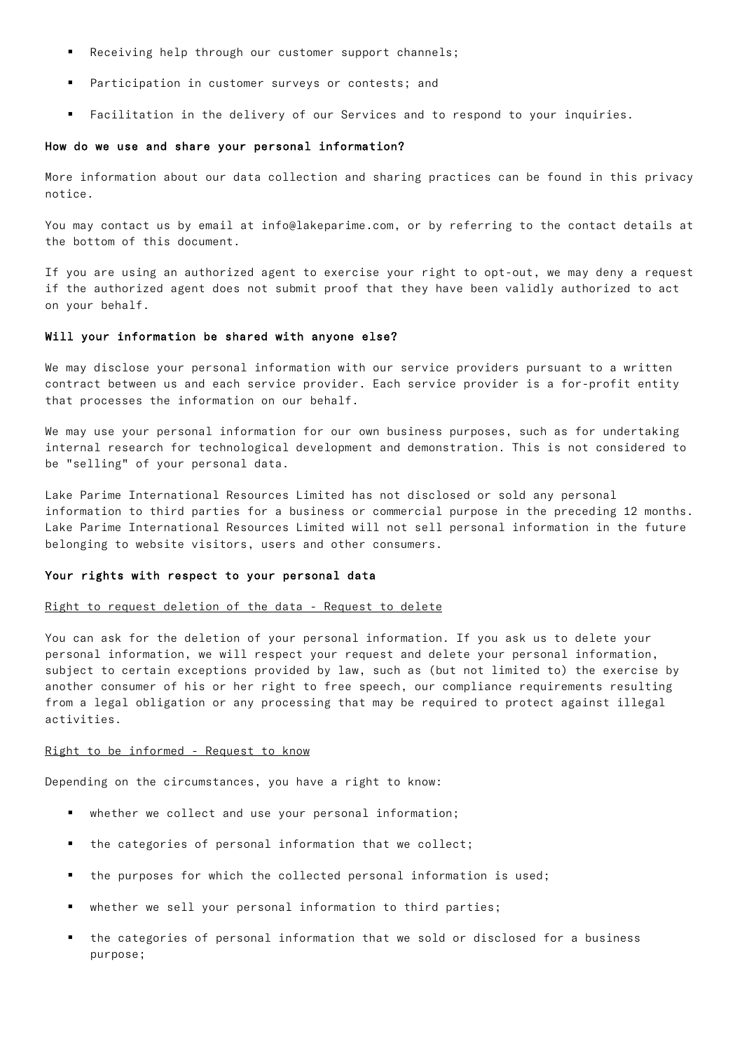- Receiving help through our customer support channels;
- Participation in customer surveys or contests; and
- Facilitation in the delivery of our Services and to respond to your inquiries.

#### How do we use and share your personal information?

More information about our data collection and sharing practices can be found in this privacy notice.

You may contact us by email at info@lakeparime.com, or by referring to the contact details at the bottom of this document.

If you are using an authorized agent to exercise your right to opt-out, we may deny a request if the authorized agent does not submit proof that they have been validly authorized to act on your behalf.

#### Will your information be shared with anyone else?

We may disclose your personal information with our service providers pursuant to a written contract between us and each service provider. Each service provider is a for-profit entity that processes the information on our behalf.

We may use your personal information for our own business purposes, such as for undertaking internal research for technological development and demonstration. This is not considered to be "selling" of your personal data.

Lake Parime International Resources Limited has not disclosed or sold any personal information to third parties for a business or commercial purpose in the preceding 12 months. Lake Parime International Resources Limited will not sell personal information in the future belonging to website visitors, users and other consumers.

## Your rights with respect to your personal data

#### Right to request deletion of the data - Request to delete

You can ask for the deletion of your personal information. If you ask us to delete your personal information, we will respect your request and delete your personal information, subject to certain exceptions provided by law, such as (but not limited to) the exercise by another consumer of his or her right to free speech, our compliance requirements resulting from a legal obligation or any processing that may be required to protect against illegal activities.

#### Right to be informed - Request to know

Depending on the circumstances, you have a right to know:

- whether we collect and use your personal information;
- the categories of personal information that we collect;
- the purposes for which the collected personal information is used;
- whether we sell your personal information to third parties;
- the categories of personal information that we sold or disclosed for a business purpose;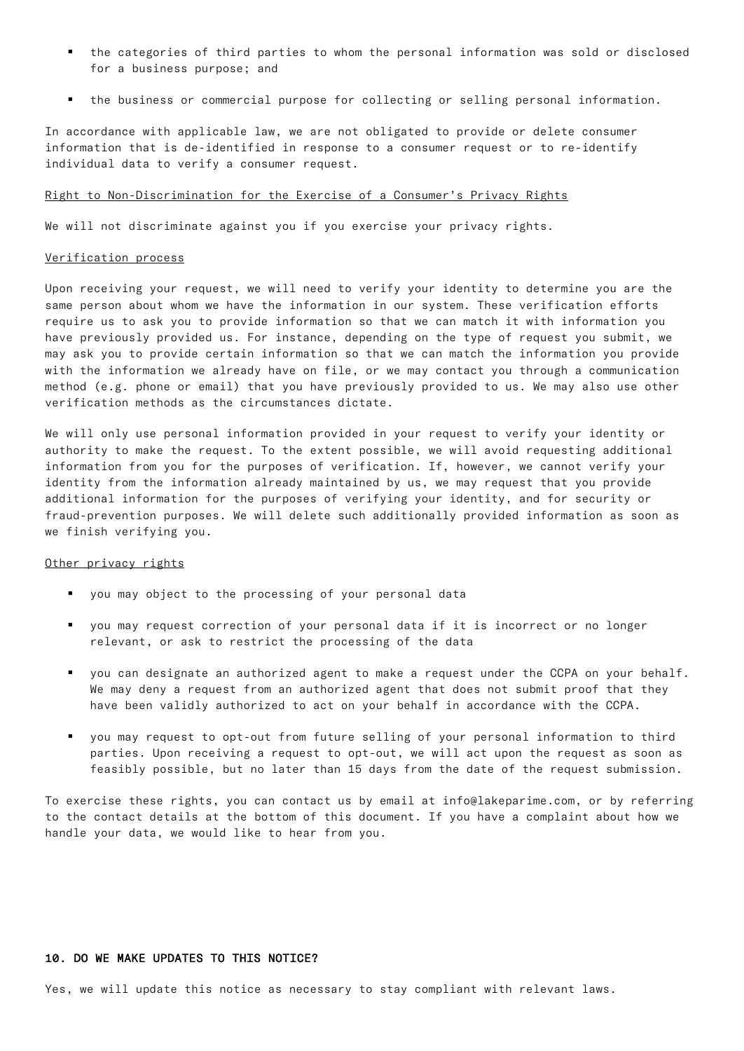- the categories of third parties to whom the personal information was sold or disclosed for a business purpose; and
- the business or commercial purpose for collecting or selling personal information.

In accordance with applicable law, we are not obligated to provide or delete consumer information that is de-identified in response to a consumer request or to re-identify individual data to verify a consumer request.

### Right to Non-Discrimination for the Exercise of a Consumer's Privacy Rights

We will not discriminate against you if you exercise your privacy rights.

### Verification process

Upon receiving your request, we will need to verify your identity to determine you are the same person about whom we have the information in our system. These verification efforts require us to ask you to provide information so that we can match it with information you have previously provided us. For instance, depending on the type of request you submit, we may ask you to provide certain information so that we can match the information you provide with the information we already have on file, or we may contact you through a communication method (e.g. phone or email) that you have previously provided to us. We may also use other verification methods as the circumstances dictate.

We will only use personal information provided in your request to verify your identity or authority to make the request. To the extent possible, we will avoid requesting additional information from you for the purposes of verification. If, however, we cannot verify your identity from the information already maintained by us, we may request that you provide additional information for the purposes of verifying your identity, and for security or fraud-prevention purposes. We will delete such additionally provided information as soon as we finish verifying you.

#### Other privacy rights

- § you may object to the processing of your personal data
- § you may request correction of your personal data if it is incorrect or no longer relevant, or ask to restrict the processing of the data
- § you can designate an authorized agent to make a request under the CCPA on your behalf. We may deny a request from an authorized agent that does not submit proof that they have been validly authorized to act on your behalf in accordance with the CCPA.
- § you may request to opt-out from future selling of your personal information to third parties. Upon receiving a request to opt-out, we will act upon the request as soon as feasibly possible, but no later than 15 days from the date of the request submission.

To exercise these rights, you can contact us by email at info@lakeparime.com, or by referring to the contact details at the bottom of this document. If you have a complaint about how we handle your data, we would like to hear from you.

# 10. DO WE MAKE UPDATES TO THIS NOTICE?

Yes, we will update this notice as necessary to stay compliant with relevant laws.